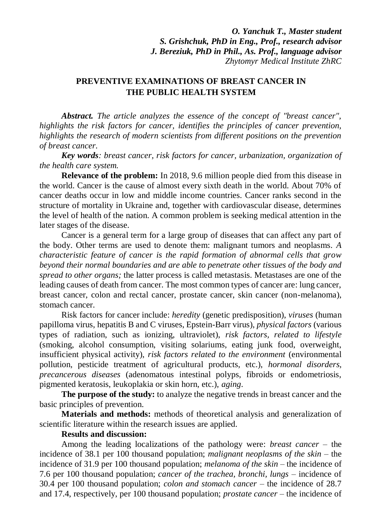*O. Yanchuk T., Master student S. Grishchuk, PhD in Eng., Prof., research advisor J. Bereziuk, PhD in Phil., As. Prof., language advisor Zhytomyr Medical Institute ZhRC*

## **PREVENTIVE EXAMINATIONS OF BREAST CANCER IN THE PUBLIC HEALTH SYSTEM**

*Abstract. The article analyzes the essence of the concept of "breast cancer", highlights the risk factors for cancer, identifies the principles of cancer prevention, highlights the research of modern scientists from different positions on the prevention of breast cancer.*

*Key words: breast cancer, risk factors for cancer, urbanization, organization of the health care system.*

**Relevance of the problem:** In 2018, 9.6 million people died from this disease in the world. Cancer is the cause of almost every sixth death in the world. About 70% of cancer deaths occur in low and middle income countries. Cancer ranks second in the structure of mortality in Ukraine and, together with cardiovascular disease, determines the level of health of the nation. A common problem is seeking medical attention in the later stages of the disease.

Cancer is a general term for a large group of diseases that can affect any part of the body. Other terms are used to denote them: malignant tumors and neoplasms. *A characteristic feature of cancer is the rapid formation of abnormal cells that grow beyond their normal boundaries and are able to penetrate other tissues of the body and spread to other organs;* the latter process is called metastasis. Metastases are one of the leading causes of death from cancer. The most common types of cancer are: lung cancer, breast cancer, colon and rectal cancer, prostate cancer, skin cancer (non-melanoma), stomach cancer.

Risk factors for cancer include: *heredity* (genetic predisposition), *viruses* (human papilloma virus, hepatitis B and C viruses, Epstein-Barr virus), *physical factors* (various types of radiation, such as ionizing, ultraviolet), *risk factors, related to lifestyle* (smoking, alcohol consumption, visiting solariums, eating junk food, overweight, insufficient physical activity), *risk factors related to the environment* (environmental pollution, pesticide treatment of agricultural products, etc.), *hormonal disorders, precancerous diseases* (adenomatous intestinal polyps, fibroids or endometriosis, pigmented keratosis, leukoplakia or skin horn, etc.), *aging*.

**The purpose of the study:** to analyze the negative trends in breast cancer and the basic principles of prevention.

**Materials and methods:** methods of theoretical analysis and generalization of scientific literature within the research issues are applied.

## **Results and discussion:**

Among the leading localizations of the pathology were: *breast cancer* – the incidence of 38.1 per 100 thousand population; *malignant neoplasms of the skin* – the incidence of 31.9 per 100 thousand population; *melanoma of the skin* – the incidence of 7.6 per 100 thousand population; *cancer of the trachea, bronchi, lungs* – incidence of 30.4 per 100 thousand population; *colon and stomach cancer* – the incidence of 28.7 and 17.4, respectively, per 100 thousand population; *prostate cancer* – the incidence of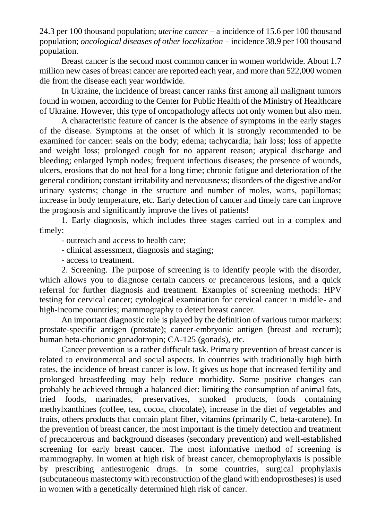24.3 per 100 thousand population; *uterine cancer* – a incidence of 15.6 per 100 thousand population; *oncological diseases of other localization* – incidence 38.9 per 100 thousand population.

Breast cancer is the second most common cancer in women worldwide. About 1.7 million new cases of breast cancer are reported each year, and more than 522,000 women die from the disease each year worldwide.

In Ukraine, the incidence of breast cancer ranks first among all malignant tumors found in women, according to the Center for Public Health of the Ministry of Healthcare of Ukraine. However, this type of oncopathology affects not only women but also men.

A characteristic feature of cancer is the absence of symptoms in the early stages of the disease. Symptoms at the onset of which it is strongly recommended to be examined for cancer: seals on the body; edema; tachycardia; hair loss; loss of appetite and weight loss; prolonged cough for no apparent reason; atypical discharge and bleeding; enlarged lymph nodes; frequent infectious diseases; the presence of wounds, ulcers, erosions that do not heal for a long time; chronic fatigue and deterioration of the general condition; constant irritability and nervousness; disorders of the digestive and/or urinary systems; change in the structure and number of moles, warts, papillomas; increase in body temperature, etc. Early detection of cancer and timely care can improve the prognosis and significantly improve the lives of patients!

1. Early diagnosis, which includes three stages carried out in a complex and timely:

- outreach and access to health care;

- clinical assessment, diagnosis and staging;

- access to treatment.

2. Screening. The purpose of screening is to identify people with the disorder, which allows you to diagnose certain cancers or precancerous lesions, and a quick referral for further diagnosis and treatment. Examples of screening methods: HPV testing for cervical cancer; cytological examination for cervical cancer in middle- and high-income countries; mammography to detect breast cancer.

An important diagnostic role is played by the definition of various tumor markers: prostate-specific antigen (prostate); cancer-embryonic antigen (breast and rectum); human beta-chorionic gonadotropin; CA-125 (gonads), etc.

Cancer prevention is a rather difficult task. Primary prevention of breast cancer is related to environmental and social aspects. In countries with traditionally high birth rates, the incidence of breast cancer is low. It gives us hope that increased fertility and prolonged breastfeeding may help reduce morbidity. Some positive changes can probably be achieved through a balanced diet: limiting the consumption of animal fats, fried foods, marinades, preservatives, smoked products, foods containing methylxanthines (coffee, tea, cocoa, chocolate), increase in the diet of vegetables and fruits, others products that contain plant fiber, vitamins (primarily C, beta-carotene). In the prevention of breast cancer, the most important is the timely detection and treatment of precancerous and background diseases (secondary prevention) and well-established screening for early breast cancer. The most informative method of screening is mammography. In women at high risk of breast cancer, chemoprophylaxis is possible by prescribing antiestrogenic drugs. In some countries, surgical prophylaxis (subcutaneous mastectomy with reconstruction of the gland with endoprostheses) is used in women with a genetically determined high risk of cancer.